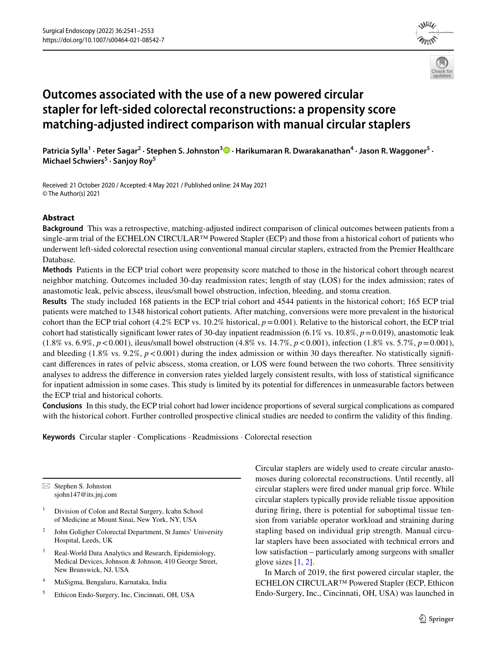



# **Outcomes associated with the use of a new powered circular stapler for left‑sided colorectal reconstructions: a propensity score matching‑adjusted indirect comparison with manual circular staplers**

Patricia Sylla<sup>1</sup> • Peter Sagar<sup>2</sup> • Stephen S. Johnston<sup>3</sup> © • Harikumaran R. Dwarakanathan<sup>4</sup> • Jason R. Waggoner<sup>5</sup> • **Michael Schwiers5 · Sanjoy Roy<sup>5</sup>**

Received: 21 October 2020 / Accepted: 4 May 2021 / Published online: 24 May 2021 © The Author(s) 2021

# **Abstract**

**Background** This was a retrospective, matching-adjusted indirect comparison of clinical outcomes between patients from a single-arm trial of the ECHELON CIRCULAR<sup>™</sup> Powered Stapler (ECP) and those from a historical cohort of patients who underwent left-sided colorectal resection using conventional manual circular staplers, extracted from the Premier Healthcare Database.

**Methods** Patients in the ECP trial cohort were propensity score matched to those in the historical cohort through nearest neighbor matching. Outcomes included 30-day readmission rates; length of stay (LOS) for the index admission; rates of anastomotic leak, pelvic abscess, ileus/small bowel obstruction, infection, bleeding, and stoma creation.

**Results** The study included 168 patients in the ECP trial cohort and 4544 patients in the historical cohort; 165 ECP trial patients were matched to 1348 historical cohort patients. After matching, conversions were more prevalent in the historical cohort than the ECP trial cohort (4.2% ECP vs. 10.2% historical, *p*=0.001). Relative to the historical cohort, the ECP trial cohort had statistically signifcant lower rates of 30-day inpatient readmission (6.1% vs. 10.8%, *p*=0.019), anastomotic leak  $(1.8\% \text{ vs. } 6.9\%, p < 0.001)$ , ileus/small bowel obstruction  $(4.8\% \text{ vs. } 14.7\%, p < 0.001)$ , infection  $(1.8\% \text{ vs. } 5.7\%, p = 0.001)$ , and bleeding  $(1.8\% \text{ vs. } 9.2\%, p < 0.001)$  during the index admission or within 30 days thereafter. No statistically significant diferences in rates of pelvic abscess, stoma creation, or LOS were found between the two cohorts. Three sensitivity analyses to address the diference in conversion rates yielded largely consistent results, with loss of statistical signifcance for inpatient admission in some cases. This study is limited by its potential for diferences in unmeasurable factors between the ECP trial and historical cohorts.

**Conclusions** In this study, the ECP trial cohort had lower incidence proportions of several surgical complications as compared with the historical cohort. Further controlled prospective clinical studies are needed to confrm the validity of this fnding.

**Keywords** Circular stapler · Complications · Readmissions · Colorectal resection

 $\boxtimes$  Stephen S. Johnston sjohn147@its.jnj.com

- <sup>1</sup> Division of Colon and Rectal Surgery, Icahn School of Medicine at Mount Sinai, New York, NY, USA
- <sup>2</sup> John Goligher Colorectal Department, St James' University Hospital, Leeds, UK
- <sup>3</sup> Real-World Data Analytics and Research, Epidemiology, Medical Devices, Johnson & Johnson, 410 George Street, New Brunswick, NJ, USA
- <sup>4</sup> MuSigma, Bengaluru, Karnataka, India
- <sup>5</sup> Ethicon Endo-Surgery, Inc, Cincinnati, OH, USA

Circular staplers are widely used to create circular anastomoses during colorectal reconstructions. Until recently, all circular staplers were fred under manual grip force. While circular staplers typically provide reliable tissue apposition during fring, there is potential for suboptimal tissue tension from variable operator workload and straining during stapling based on individual grip strength. Manual circular staplers have been associated with technical errors and low satisfaction – particularly among surgeons with smaller glove sizes [[1](#page-12-0), [2](#page-12-1)].

In March of 2019, the frst powered circular stapler, the ECHELON CIRCULAR™ Powered Stapler (ECP, Ethicon Endo-Surgery, Inc., Cincinnati, OH, USA) was launched in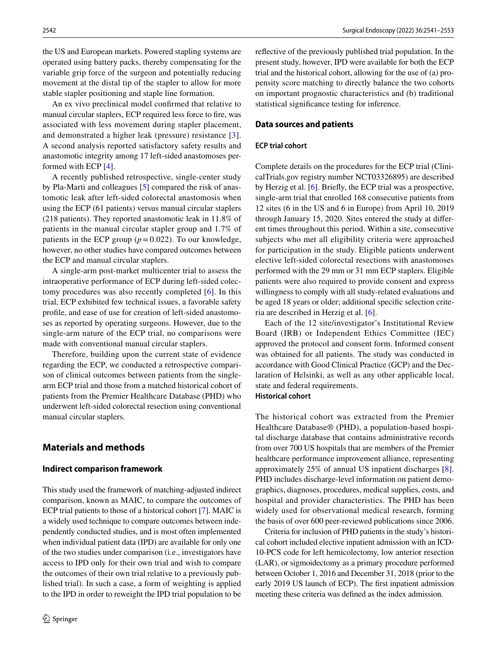the US and European markets. Powered stapling systems are operated using battery packs, thereby compensating for the variable grip force of the surgeon and potentially reducing movement at the distal tip of the stapler to allow for more stable stapler positioning and staple line formation.

An ex vivo preclinical model confrmed that relative to manual circular staplers, ECP required less force to fre, was associated with less movement during stapler placement, and demonstrated a higher leak (pressure) resistance [[3](#page-12-2)]. A second analysis reported satisfactory safety results and anastomotic integrity among 17 left-sided anastomoses performed with ECP [\[4](#page-12-3)].

A recently published retrospective, single-center study by Pla-Marti and colleagues [[5\]](#page-12-4) compared the risk of anastomotic leak after left-sided colorectal anastomosis when using the ECP (61 patients) versus manual circular staplers (218 patients). They reported anastomotic leak in 11.8% of patients in the manual circular stapler group and 1.7% of patients in the ECP group  $(p=0.022)$ . To our knowledge, however, no other studies have compared outcomes between the ECP and manual circular staplers.

A single-arm post-market multicenter trial to assess the intraoperative performance of ECP during left-sided colectomy procedures was also recently completed [[6](#page-12-5)]. In this trial, ECP exhibited few technical issues, a favorable safety profle, and ease of use for creation of left-sided anastomoses as reported by operating surgeons. However, due to the single-arm nature of the ECP trial, no comparisons were made with conventional manual circular staplers.

Therefore, building upon the current state of evidence regarding the ECP, we conducted a retrospective comparison of clinical outcomes between patients from the singlearm ECP trial and those from a matched historical cohort of patients from the Premier Healthcare Database (PHD) who underwent left-sided colorectal resection using conventional manual circular staplers.

# **Materials and methods**

## **Indirect comparison framework**

This study used the framework of matching-adjusted indirect comparison, known as MAIC, to compare the outcomes of ECP trial patients to those of a historical cohort [[7\]](#page-12-6). MAIC is a widely used technique to compare outcomes between independently conducted studies, and is most often implemented when individual patient data (IPD) are available for only one of the two studies under comparison (i.e., investigators have access to IPD only for their own trial and wish to compare the outcomes of their own trial relative to a previously published trial). In such a case, a form of weighting is applied to the IPD in order to reweight the IPD trial population to be refective of the previously published trial population. In the present study, however, IPD were available for both the ECP trial and the historical cohort, allowing for the use of (a) propensity score matching to directly balance the two cohorts on important prognostic characteristics and (b) traditional statistical signifcance testing for inference.

## **Data sources and patients**

## **ECP trial cohort**

Complete details on the procedures for the ECP trial (ClinicalTrials.gov registry number NCT03326895) are described by Herzig et al. [\[6](#page-12-5)]. Briefy, the ECP trial was a prospective, single-arm trial that enrolled 168 consecutive patients from 12 sites (6 in the US and 6 in Europe) from April 10, 2019 through January 15, 2020. Sites entered the study at diferent times throughout this period. Within a site, consecutive subjects who met all eligibility criteria were approached for participation in the study. Eligible patients underwent elective left-sided colorectal resections with anastomoses performed with the 29 mm or 31 mm ECP staplers. Eligible patients were also required to provide consent and express willingness to comply with all study-related evaluations and be aged 18 years or older; additional specifc selection criteria are described in Herzig et al. [\[6](#page-12-5)].

Each of the 12 site/investigator's Institutional Review Board (IRB) or Independent Ethics Committee (IEC) approved the protocol and consent form. Informed consent was obtained for all patients. The study was conducted in accordance with Good Clinical Practice (GCP) and the Declaration of Helsinki, as well as any other applicable local, state and federal requirements. **Historical cohort**

The historical cohort was extracted from the Premier Healthcare Database® (PHD), a population-based hospital discharge database that contains administrative records from over 700 US hospitals that are members of the Premier healthcare performance improvement alliance, representing approximately 25% of annual US inpatient discharges [\[8](#page-12-7)]. PHD includes discharge-level information on patient demographics, diagnoses, procedures, medical supplies, costs, and hospital and provider characteristics. The PHD has been widely used for observational medical research, forming the basis of over 600 peer-reviewed publications since 2006.

Criteria for inclusion of PHD patients in the study's historical cohort included elective inpatient admission with an ICD-10-PCS code for left hemicolectomy, low anterior resection (LAR), or sigmoidectomy as a primary procedure performed between October 1, 2016 and December 31, 2018 (prior to the early 2019 US launch of ECP). The frst inpatient admission meeting these criteria was defned as the index admission.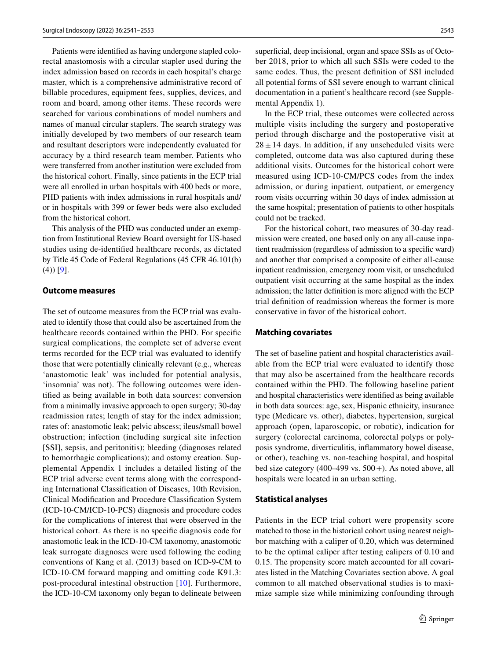Patients were identifed as having undergone stapled colorectal anastomosis with a circular stapler used during the index admission based on records in each hospital's charge master, which is a comprehensive administrative record of billable procedures, equipment fees, supplies, devices, and room and board, among other items. These records were searched for various combinations of model numbers and names of manual circular staplers. The search strategy was initially developed by two members of our research team and resultant descriptors were independently evaluated for accuracy by a third research team member. Patients who were transferred from another institution were excluded from the historical cohort. Finally, since patients in the ECP trial were all enrolled in urban hospitals with 400 beds or more, PHD patients with index admissions in rural hospitals and/ or in hospitals with 399 or fewer beds were also excluded from the historical cohort.

This analysis of the PHD was conducted under an exemption from Institutional Review Board oversight for US-based studies using de-identifed healthcare records, as dictated by Title 45 Code of Federal Regulations (45 CFR 46.101(b)  $(4)$  $[9]$  $[9]$  $[9]$ .

## **Outcome measures**

The set of outcome measures from the ECP trial was evaluated to identify those that could also be ascertained from the healthcare records contained within the PHD. For specifc surgical complications, the complete set of adverse event terms recorded for the ECP trial was evaluated to identify those that were potentially clinically relevant (e.g., whereas 'anastomotic leak' was included for potential analysis, 'insomnia' was not). The following outcomes were identifed as being available in both data sources: conversion from a minimally invasive approach to open surgery; 30-day readmission rates; length of stay for the index admission; rates of: anastomotic leak; pelvic abscess; ileus/small bowel obstruction; infection (including surgical site infection [SSI], sepsis, and peritonitis); bleeding (diagnoses related to hemorrhagic complications); and ostomy creation. Supplemental Appendix 1 includes a detailed listing of the ECP trial adverse event terms along with the corresponding International Classifcation of Diseases, 10th Revision, Clinical Modifcation and Procedure Classifcation System (ICD-10-CM/ICD-10-PCS) diagnosis and procedure codes for the complications of interest that were observed in the historical cohort. As there is no specific diagnosis code for anastomotic leak in the ICD-10-CM taxonomy, anastomotic leak surrogate diagnoses were used following the coding conventions of Kang et al. (2013) based on ICD-9-CM to ICD-10-CM forward mapping and omitting code K91.3: post-procedural intestinal obstruction [[10\]](#page-12-9). Furthermore, the ICD-10-CM taxonomy only began to delineate between superficial, deep incisional, organ and space SSIs as of October 2018, prior to which all such SSIs were coded to the same codes. Thus, the present defnition of SSI included all potential forms of SSI severe enough to warrant clinical documentation in a patient's healthcare record (see Supplemental Appendix 1).

In the ECP trial, these outcomes were collected across multiple visits including the surgery and postoperative period through discharge and the postoperative visit at  $28 \pm 14$  days. In addition, if any unscheduled visits were completed, outcome data was also captured during these additional visits. Outcomes for the historical cohort were measured using ICD-10-CM/PCS codes from the index admission, or during inpatient, outpatient, or emergency room visits occurring within 30 days of index admission at the same hospital; presentation of patients to other hospitals could not be tracked.

For the historical cohort, two measures of 30-day readmission were created, one based only on any all-cause inpatient readmission (regardless of admission to a specifc ward) and another that comprised a composite of either all-cause inpatient readmission, emergency room visit, or unscheduled outpatient visit occurring at the same hospital as the index admission; the latter defnition is more aligned with the ECP trial defnition of readmission whereas the former is more conservative in favor of the historical cohort.

## **Matching covariates**

The set of baseline patient and hospital characteristics available from the ECP trial were evaluated to identify those that may also be ascertained from the healthcare records contained within the PHD. The following baseline patient and hospital characteristics were identifed as being available in both data sources: age, sex, Hispanic ethnicity, insurance type (Medicare vs. other), diabetes, hypertension, surgical approach (open, laparoscopic, or robotic), indication for surgery (colorectal carcinoma, colorectal polyps or polyposis syndrome, diverticulitis, infammatory bowel disease, or other), teaching vs. non-teaching hospital, and hospital bed size category  $(400-499 \text{ vs. } 500+)$ . As noted above, all hospitals were located in an urban setting.

## **Statistical analyses**

Patients in the ECP trial cohort were propensity score matched to those in the historical cohort using nearest neighbor matching with a caliper of 0.20, which was determined to be the optimal caliper after testing calipers of 0.10 and 0.15. The propensity score match accounted for all covariates listed in the Matching Covariates section above. A goal common to all matched observational studies is to maximize sample size while minimizing confounding through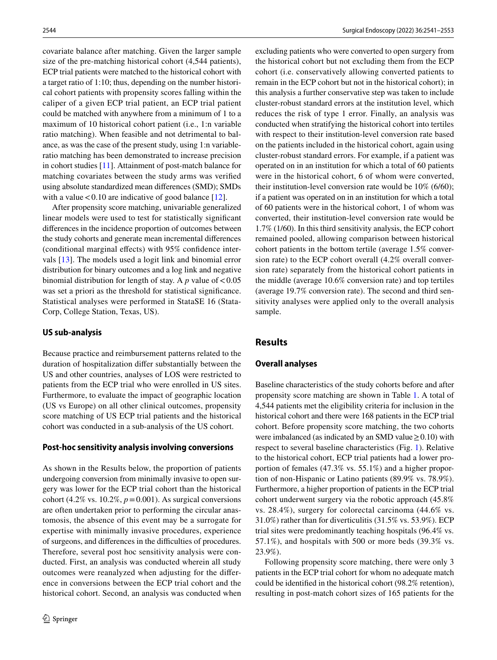covariate balance after matching. Given the larger sample size of the pre-matching historical cohort (4,544 patients), ECP trial patients were matched to the historical cohort with a target ratio of 1:10; thus, depending on the number historical cohort patients with propensity scores falling within the caliper of a given ECP trial patient, an ECP trial patient could be matched with anywhere from a minimum of 1 to a maximum of 10 historical cohort patient (i.e., 1:n variable ratio matching). When feasible and not detrimental to balance, as was the case of the present study, using 1:n variableratio matching has been demonstrated to increase precision in cohort studies [\[11](#page-12-10)]. Attainment of post-match balance for matching covariates between the study arms was verifed using absolute standardized mean diferences (SMD); SMDs with a value  $< 0.10$  are indicative of good balance [[12\]](#page-12-11).

After propensity score matching, univariable generalized linear models were used to test for statistically signifcant diferences in the incidence proportion of outcomes between the study cohorts and generate mean incremental diferences (conditional marginal effects) with 95% confidence intervals [[13\]](#page-12-12). The models used a logit link and binomial error distribution for binary outcomes and a log link and negative binomial distribution for length of stay. A  $p$  value of  $<0.05$ was set a priori as the threshold for statistical signifcance. Statistical analyses were performed in StataSE 16 (Stata-Corp, College Station, Texas, US).

## **US sub‑analysis**

Because practice and reimbursement patterns related to the duration of hospitalization difer substantially between the US and other countries, analyses of LOS were restricted to patients from the ECP trial who were enrolled in US sites. Furthermore, to evaluate the impact of geographic location (US vs Europe) on all other clinical outcomes, propensity score matching of US ECP trial patients and the historical cohort was conducted in a sub-analysis of the US cohort.

#### **Post‑hoc sensitivity analysis involving conversions**

As shown in the Results below, the proportion of patients undergoing conversion from minimally invasive to open surgery was lower for the ECP trial cohort than the historical cohort (4.2% vs. 10.2%,  $p = 0.001$ ). As surgical conversions are often undertaken prior to performing the circular anastomosis, the absence of this event may be a surrogate for expertise with minimally invasive procedures, experience of surgeons, and diferences in the difculties of procedures. Therefore, several post hoc sensitivity analysis were conducted. First, an analysis was conducted wherein all study outcomes were reanalyzed when adjusting for the diference in conversions between the ECP trial cohort and the historical cohort. Second, an analysis was conducted when excluding patients who were converted to open surgery from the historical cohort but not excluding them from the ECP cohort (i.e. conservatively allowing converted patients to remain in the ECP cohort but not in the historical cohort); in this analysis a further conservative step was taken to include cluster-robust standard errors at the institution level, which reduces the risk of type 1 error. Finally, an analysis was conducted when stratifying the historical cohort into tertiles with respect to their institution-level conversion rate based on the patients included in the historical cohort, again using cluster-robust standard errors. For example, if a patient was operated on in an institution for which a total of 60 patients were in the historical cohort, 6 of whom were converted, their institution-level conversion rate would be 10% (6/60); if a patient was operated on in an institution for which a total of 60 patients were in the historical cohort, 1 of whom was converted, their institution-level conversion rate would be 1.7% (1/60). In this third sensitivity analysis, the ECP cohort remained pooled, allowing comparison between historical cohort patients in the bottom tertile (average 1.5% conversion rate) to the ECP cohort overall (4.2% overall conversion rate) separately from the historical cohort patients in the middle (average 10.6% conversion rate) and top tertiles (average 19.7% conversion rate). The second and third sensitivity analyses were applied only to the overall analysis sample.

# **Results**

## **Overall analyses**

Baseline characteristics of the study cohorts before and after propensity score matching are shown in Table [1](#page-4-0). A total of 4,544 patients met the eligibility criteria for inclusion in the historical cohort and there were 168 patients in the ECP trial cohort. Before propensity score matching, the two cohorts were imbalanced (as indicated by an SMD value  $\geq$  0.10) with respect to several baseline characteristics (Fig. [1](#page-5-0)). Relative to the historical cohort, ECP trial patients had a lower proportion of females (47.3% vs. 55.1%) and a higher proportion of non-Hispanic or Latino patients (89.9% vs. 78.9%). Furthermore, a higher proportion of patients in the ECP trial cohort underwent surgery via the robotic approach (45.8% vs. 28.4%), surgery for colorectal carcinoma (44.6% vs. 31.0%) rather than for diverticulitis (31.5% vs. 53.9%). ECP trial sites were predominantly teaching hospitals (96.4% vs. 57.1%), and hospitals with 500 or more beds (39.3% vs. 23.9%).

Following propensity score matching, there were only 3 patients in the ECP trial cohort for whom no adequate match could be identifed in the historical cohort (98.2% retention), resulting in post-match cohort sizes of 165 patients for the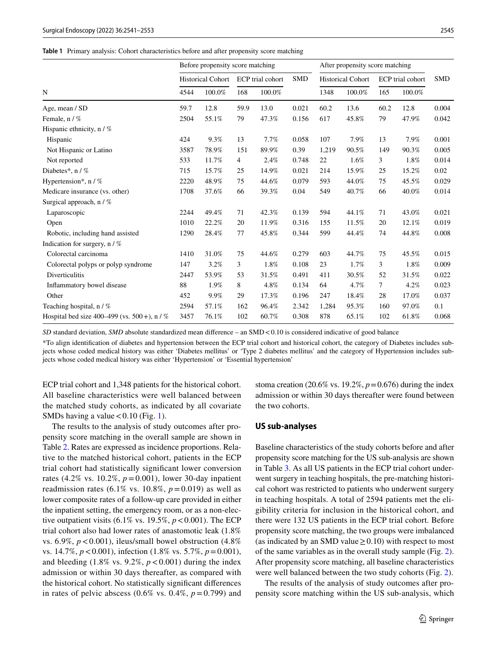#### <span id="page-4-0"></span>**Table 1** Primary analysis: Cohort characteristics before and after propensity score matching

|                                                 |                          | Before propensity score matching |                |                  | After propensity score matching |                          |        |                  |        |            |
|-------------------------------------------------|--------------------------|----------------------------------|----------------|------------------|---------------------------------|--------------------------|--------|------------------|--------|------------|
|                                                 | <b>Historical Cohort</b> |                                  |                | ECP trial cohort | <b>SMD</b>                      | <b>Historical Cohort</b> |        | ECP trial cohort |        | <b>SMD</b> |
| N                                               | 4544                     | 100.0%                           | 168            | 100.0%           |                                 | 1348                     | 100.0% | 165              | 100.0% |            |
| Age, mean / SD                                  | 59.7                     | 12.8                             | 59.9           | 13.0             | 0.021                           | 60.2                     | 13.6   | 60.2             | 12.8   | 0.004      |
| Female, n / %                                   | 2504                     | 55.1%                            | 79             | 47.3%            | 0.156                           | 617                      | 45.8%  | 79               | 47.9%  | 0.042      |
| Hispanic ethnicity, n / %                       |                          |                                  |                |                  |                                 |                          |        |                  |        |            |
| Hispanic                                        | 424                      | 9.3%                             | 13             | 7.7%             | 0.058                           | 107                      | 7.9%   | 13               | 7.9%   | 0.001      |
| Not Hispanic or Latino                          | 3587                     | 78.9%                            | 151            | 89.9%            | 0.39                            | 1,219                    | 90.5%  | 149              | 90.3%  | 0.005      |
| Not reported                                    | 533                      | 11.7%                            | $\overline{4}$ | 2.4%             | 0.748                           | 22                       | 1.6%   | 3                | 1.8%   | 0.014      |
| Diabetes*, n / %                                | 715                      | 15.7%                            | 25             | 14.9%            | 0.021                           | 214                      | 15.9%  | 25               | 15.2%  | 0.02       |
| Hypertension*, $n / \%$                         | 2220                     | 48.9%                            | 75             | 44.6%            | 0.079                           | 593                      | 44.0%  | 75               | 45.5%  | 0.029      |
| Medicare insurance (vs. other)                  | 1708                     | 37.6%                            | 66             | 39.3%            | 0.04                            | 549                      | 40.7%  | 66               | 40.0%  | 0.014      |
| Surgical approach, n / %                        |                          |                                  |                |                  |                                 |                          |        |                  |        |            |
| Laparoscopic                                    | 2244                     | 49.4%                            | 71             | 42.3%            | 0.139                           | 594                      | 44.1%  | 71               | 43.0%  | 0.021      |
| Open                                            | 1010                     | 22.2%                            | 20             | 11.9%            | 0.316                           | 155                      | 11.5%  | 20               | 12.1%  | 0.019      |
| Robotic, including hand assisted                | 1290                     | 28.4%                            | 77             | 45.8%            | 0.344                           | 599                      | 44.4%  | 74               | 44.8%  | 0.008      |
| Indication for surgery, $n / \%$                |                          |                                  |                |                  |                                 |                          |        |                  |        |            |
| Colorectal carcinoma                            | 1410                     | 31.0%                            | 75             | 44.6%            | 0.279                           | 603                      | 44.7%  | 75               | 45.5%  | 0.015      |
| Colorectal polyps or polyp syndrome             | 147                      | 3.2%                             | 3              | 1.8%             | 0.108                           | 23                       | 1.7%   | 3                | 1.8%   | 0.009      |
| <b>Diverticulitis</b>                           | 2447                     | 53.9%                            | 53             | 31.5%            | 0.491                           | 411                      | 30.5%  | 52               | 31.5%  | 0.022      |
| Inflammatory bowel disease                      | 88                       | 1.9%                             | 8              | 4.8%             | 0.134                           | 64                       | 4.7%   | 7                | 4.2%   | 0.023      |
| Other                                           | 452                      | 9.9%                             | 29             | 17.3%            | 0.196                           | 247                      | 18.4%  | 28               | 17.0%  | 0.037      |
| Teaching hospital, $n / \%$                     | 2594                     | 57.1%                            | 162            | 96.4%            | 2.342                           | 1,284                    | 95.3%  | 160              | 97.0%  | 0.1        |
| Hospital bed size 400–499 (vs. $500 +$ ), n / % | 3457                     | 76.1%                            | 102            | 60.7%            | 0.308                           | 878                      | 65.1%  | 102              | 61.8%  | 0.068      |

*SD* standard deviation, *SMD* absolute standardized mean difference – an SMD <0.10 is considered indicative of good balance

\*To align identifcation of diabetes and hypertension between the ECP trial cohort and historical cohort, the category of Diabetes includes subjects whose coded medical history was either 'Diabetes mellitus' or 'Type 2 diabetes mellitus' and the category of Hypertension includes subjects whose coded medical history was either 'Hypertension' or 'Essential hypertension'

ECP trial cohort and 1,348 patients for the historical cohort. All baseline characteristics were well balanced between the matched study cohorts, as indicated by all covariate SMDs having a value  $< 0.10$  (Fig. [1\)](#page-5-0).

The results to the analysis of study outcomes after propensity score matching in the overall sample are shown in Table [2.](#page-5-1) Rates are expressed as incidence proportions. Relative to the matched historical cohort, patients in the ECP trial cohort had statistically signifcant lower conversion rates (4.2% vs. 10.2%, *p*=0.001), lower 30-day inpatient readmission rates (6.1% vs. 10.8%,  $p = 0.019$ ) as well as lower composite rates of a follow-up care provided in either the inpatient setting, the emergency room, or as a non-elective outpatient visits  $(6.1\% \text{ vs. } 19.5\%, p < 0.001)$ . The ECP trial cohort also had lower rates of anastomotic leak (1.8% vs.  $6.9\%, p < 0.001$ ), ileus/small bowel obstruction (4.8%) vs. 14.7%, *p*<0.001), infection (1.8% vs. 5.7%, *p*=0.001), and bleeding  $(1.8\% \text{ vs. } 9.2\%, p < 0.001)$  during the index admission or within 30 days thereafter, as compared with the historical cohort. No statistically signifcant diferences in rates of pelvic abscess  $(0.6\% \text{ vs. } 0.4\%, p=0.799)$  and stoma creation (20.6% vs. 19.2%,  $p=0.676$ ) during the index admission or within 30 days thereafter were found between the two cohorts.

## **US sub‑analyses**

Baseline characteristics of the study cohorts before and after propensity score matching for the US sub-analysis are shown in Table [3](#page-6-0). As all US patients in the ECP trial cohort underwent surgery in teaching hospitals, the pre-matching historical cohort was restricted to patients who underwent surgery in teaching hospitals. A total of 2594 patients met the eligibility criteria for inclusion in the historical cohort, and there were 132 US patients in the ECP trial cohort. Before propensity score matching, the two groups were imbalanced (as indicated by an SMD value  $\geq$  0.10) with respect to most of the same variables as in the overall study sample (Fig. [2](#page-7-0)). After propensity score matching, all baseline characteristics were well balanced between the two study cohorts (Fig. [2\)](#page-7-0).

The results of the analysis of study outcomes after propensity score matching within the US sub-analysis, which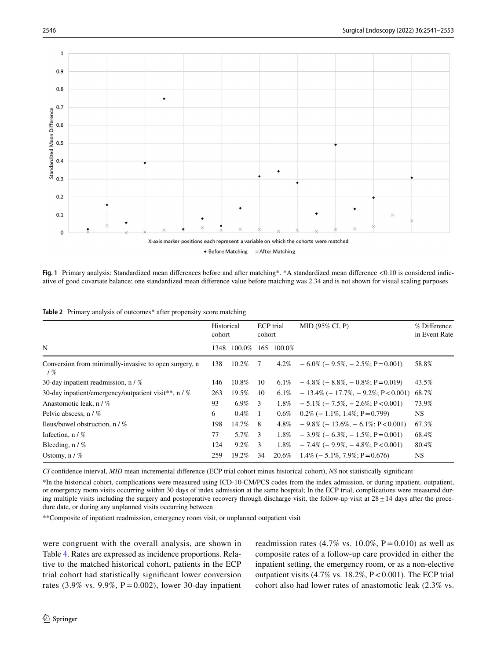

+ Before Matching  $\times$  After Matching

<span id="page-5-0"></span>**Fig. 1** Primary analysis: Standardized mean diferences before and after matching\*. \*A standardized mean diference <0.10 is considered indicative of good covariate balance; one standardized mean diference value before matching was 2.34 and is not shown for visual scaling purposes

<span id="page-5-1"></span>

|  |  |  |  | Table 2 Primary analysis of outcomes* after propensity score matching |  |  |  |  |
|--|--|--|--|-----------------------------------------------------------------------|--|--|--|--|
|--|--|--|--|-----------------------------------------------------------------------|--|--|--|--|

| N                                                               |     | Historical<br>cohort |     | <b>ECP</b> trial<br>cohort | MID (95% CI, P)                                | % Difference<br>in Event Rate |
|-----------------------------------------------------------------|-----|----------------------|-----|----------------------------|------------------------------------------------|-------------------------------|
|                                                                 |     | 100.0%               | 165 | 100.0%                     |                                                |                               |
| Conversion from minimally-invasive to open surgery, n<br>$/ \%$ | 138 | 10.2%                | -7  | 4.2%                       | $-6.0\%$ ( $-9.5\%$ , $-2.5\%$ ; P=0.001)      | 58.8%                         |
| 30-day inpatient readmission, $n / \%$                          | 146 | 10.8%                | 10  | 6.1%                       | $-4.8\%$ ( $-8.8\%$ , $-0.8\%$ ; P=0.019)      | 43.5%                         |
| 30-day inpatient/emergency/outpatient visit**, $n / \%$         | 263 | 19.5%                | 10  | 6.1%                       | $-13.4\% (-17.7\%, -9.2\%; P<0.001)$           | 68.7%                         |
| Anastomotic leak, n / %                                         | 93  | 6.9%                 | 3   | $1.8\%$                    | $-5.1\%$ ( $-7.5\%$ , $-2.6\%$ ; P $< 0.001$ ) | 73.9%                         |
| Pelvic abscess, n / %                                           | 6   | $0.4\%$              | -1  | $0.6\%$                    | $0.2\%$ (-1.1\%, 1.4\%; P = 0.799)             | <b>NS</b>                     |
| Ileus/bowel obstruction, $n / \%$                               | 198 | 14.7%                | 8   | 4.8%                       | $-9.8\%$ ( $-13.6\%$ , $-6.1\%$ ; P < 0.001)   | 67.3%                         |
| Infection, $n / \%$                                             | 77  | 5.7%                 | 3   | $1.8\%$                    | $-3.9\%$ ( $-6.3\%$ , $-1.5\%$ ; P=0.001)      | 68.4%                         |
| Bleeding, $n / \%$                                              | 124 | $9.2\%$              | 3   | $1.8\%$                    | $-7.4\%$ ( $-9.9\%$ , $-4.8\%$ ; P $< 0.001$ ) | 80.4%                         |
| Ostomy, $n / \%$                                                | 259 | 19.2%                | 34  | 20.6%                      | $1.4\%$ (-5.1\%, 7.9\%; P = 0.676)             | NS                            |

*CI* confdence interval, *MID* mean incremental diference (ECP trial cohort minus historical cohort), *NS* not statistically signifcant

\*In the historical cohort, complications were measured using ICD-10-CM/PCS codes from the index admission, or during inpatient, outpatient, or emergency room visits occurring within 30 days of index admission at the same hospital; In the ECP trial, complications were measured during multiple visits including the surgery and postoperative recovery through discharge visit, the follow-up visit at  $28 \pm 14$  days after the procedure date, or during any unplanned visits occurring between

\*\*Composite of inpatient readmission, emergency room visit, or unplanned outpatient visit

were congruent with the overall analysis, are shown in Table [4.](#page-7-1) Rates are expressed as incidence proportions. Relative to the matched historical cohort, patients in the ECP trial cohort had statistically signifcant lower conversion rates (3.9% vs. 9.9%,  $P = 0.002$ ), lower 30-day inpatient readmission rates (4.7% vs. 10.0%,  $P = 0.010$ ) as well as composite rates of a follow-up care provided in either the inpatient setting, the emergency room, or as a non-elective outpatient visits  $(4.7\% \text{ vs. } 18.2\%, P < 0.001)$ . The ECP trial cohort also had lower rates of anastomotic leak (2.3% vs.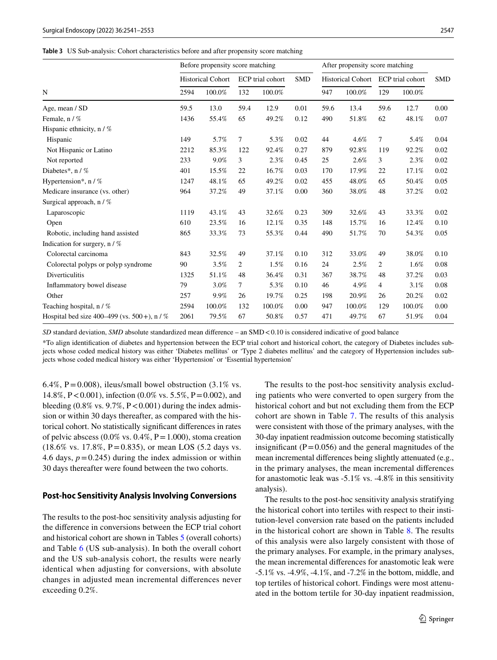<span id="page-6-0"></span>

| Table 3 US Sub-analysis: Cohort characteristics before and after propensity score matching |  |
|--------------------------------------------------------------------------------------------|--|
|--------------------------------------------------------------------------------------------|--|

|                                                 |      | Before propensity score matching |                |                  | After propensity score matching |      |        |                                    |        |            |
|-------------------------------------------------|------|----------------------------------|----------------|------------------|---------------------------------|------|--------|------------------------------------|--------|------------|
|                                                 |      | <b>Historical Cohort</b>         |                | ECP trial cohort | <b>SMD</b>                      |      |        | Historical Cohort ECP trial cohort |        | <b>SMD</b> |
| N                                               | 2594 | 100.0%                           | 132            | 100.0%           |                                 | 947  | 100.0% | 129                                | 100.0% |            |
| Age, mean / SD                                  | 59.5 | 13.0                             | 59.4           | 12.9             | 0.01                            | 59.6 | 13.4   | 59.6                               | 12.7   | 0.00       |
| Female, n / %                                   | 1436 | 55.4%                            | 65             | 49.2%            | 0.12                            | 490  | 51.8%  | 62                                 | 48.1%  | 0.07       |
| Hispanic ethnicity, $n / \%$                    |      |                                  |                |                  |                                 |      |        |                                    |        |            |
| Hispanic                                        | 149  | 5.7%                             | $\tau$         | 5.3%             | 0.02                            | 44   | 4.6%   | $\overline{7}$                     | 5.4%   | 0.04       |
| Not Hispanic or Latino                          | 2212 | 85.3%                            | 122            | 92.4%            | 0.27                            | 879  | 92.8%  | 119                                | 92.2%  | 0.02       |
| Not reported                                    | 233  | 9.0%                             | 3              | 2.3%             | 0.45                            | 25   | 2.6%   | 3                                  | 2.3%   | 0.02       |
| Diabetes*, n / %                                | 401  | 15.5%                            | 22             | 16.7%            | 0.03                            | 170  | 17.9%  | 22                                 | 17.1%  | 0.02       |
| Hypertension*, $n / \%$                         | 1247 | 48.1%                            | 65             | 49.2%            | 0.02                            | 455  | 48.0%  | 65                                 | 50.4%  | 0.05       |
| Medicare insurance (vs. other)                  | 964  | 37.2%                            | 49             | 37.1%            | 0.00                            | 360  | 38.0%  | 48                                 | 37.2%  | 0.02       |
| Surgical approach, n / %                        |      |                                  |                |                  |                                 |      |        |                                    |        |            |
| Laparoscopic                                    | 1119 | 43.1%                            | 43             | 32.6%            | 0.23                            | 309  | 32.6%  | 43                                 | 33.3%  | 0.02       |
| Open                                            | 610  | 23.5%                            | 16             | 12.1%            | 0.35                            | 148  | 15.7%  | 16                                 | 12.4%  | 0.10       |
| Robotic, including hand assisted                | 865  | 33.3%                            | 73             | 55.3%            | 0.44                            | 490  | 51.7%  | 70                                 | 54.3%  | 0.05       |
| Indication for surgery, $n / \%$                |      |                                  |                |                  |                                 |      |        |                                    |        |            |
| Colorectal carcinoma                            | 843  | 32.5%                            | 49             | 37.1%            | 0.10                            | 312  | 33.0%  | 49                                 | 38.0%  | 0.10       |
| Colorectal polyps or polyp syndrome             | 90   | 3.5%                             | $\overline{c}$ | 1.5%             | 0.16                            | 24   | 2.5%   | $\overline{c}$                     | 1.6%   | 0.08       |
| <b>Diverticulitis</b>                           | 1325 | 51.1%                            | 48             | 36.4%            | 0.31                            | 367  | 38.7%  | 48                                 | 37.2%  | 0.03       |
| Inflammatory bowel disease                      | 79   | 3.0%                             | 7              | 5.3%             | 0.10                            | 46   | 4.9%   | 4                                  | 3.1%   | 0.08       |
| Other                                           | 257  | 9.9%                             | 26             | 19.7%            | 0.25                            | 198  | 20.9%  | 26                                 | 20.2%  | 0.02       |
| Teaching hospital, n / %                        | 2594 | 100.0%                           | 132            | 100.0%           | 0.00                            | 947  | 100.0% | 129                                | 100.0% | 0.00       |
| Hospital bed size 400–499 (vs. $500 +$ ), n / % | 2061 | 79.5%                            | 67             | 50.8%            | 0.57                            | 471  | 49.7%  | 67                                 | 51.9%  | 0.04       |

*SD* standard deviation, *SMD* absolute standardized mean difference – an SMD <0.10 is considered indicative of good balance

\*To align identifcation of diabetes and hypertension between the ECP trial cohort and historical cohort, the category of Diabetes includes subjects whose coded medical history was either 'Diabetes mellitus' or 'Type 2 diabetes mellitus' and the category of Hypertension includes subjects whose coded medical history was either 'Hypertension' or 'Essential hypertension'

6.4%,  $P = 0.008$ ), ileus/small bowel obstruction (3.1% vs. 14.8%, P<0.001), infection (0.0% vs. 5.5%, P=0.002), and bleeding  $(0.8\% \text{ vs. } 9.7\%, P < 0.001)$  during the index admission or within 30 days thereafter, as compared with the historical cohort. No statistically signifcant diferences in rates of pelvic abscess  $(0.0\% \text{ vs. } 0.4\%, P=1.000)$ , stoma creation  $(18.6\% \text{ vs. } 17.8\%, \text{ P} = 0.835)$ , or mean LOS  $(5.2 \text{ days vs. } 17.8\%)$ 4.6 days,  $p = 0.245$ ) during the index admission or within 30 days thereafter were found between the two cohorts.

#### **Post‑hoc Sensitivity Analysis Involving Conversions**

The results to the post-hoc sensitivity analysis adjusting for the diference in conversions between the ECP trial cohort and historical cohort are shown in Tables [5](#page-8-0) (overall cohorts) and Table [6](#page-8-1) (US sub-analysis). In both the overall cohort and the US sub-analysis cohort, the results were nearly identical when adjusting for conversions, with absolute changes in adjusted mean incremental diferences never exceeding 0.2%.

The results to the post-hoc sensitivity analysis excluding patients who were converted to open surgery from the historical cohort and but not excluding them from the ECP cohort are shown in Table [7](#page-9-0). The results of this analysis were consistent with those of the primary analyses, with the 30-day inpatient readmission outcome becoming statistically insignificant ( $P = 0.056$ ) and the general magnitudes of the mean incremental diferences being slightly attenuated (e.g., in the primary analyses, the mean incremental diferences for anastomotic leak was -5.1% vs. -4.8% in this sensitivity analysis).

The results to the post-hoc sensitivity analysis stratifying the historical cohort into tertiles with respect to their institution-level conversion rate based on the patients included in the historical cohort are shown in Table [8.](#page-10-0) The results of this analysis were also largely consistent with those of the primary analyses. For example, in the primary analyses, the mean incremental diferences for anastomotic leak were -5.1% vs. -4.9%, -4.1%, and -7.2% in the bottom, middle, and top tertiles of historical cohort. Findings were most attenuated in the bottom tertile for 30-day inpatient readmission,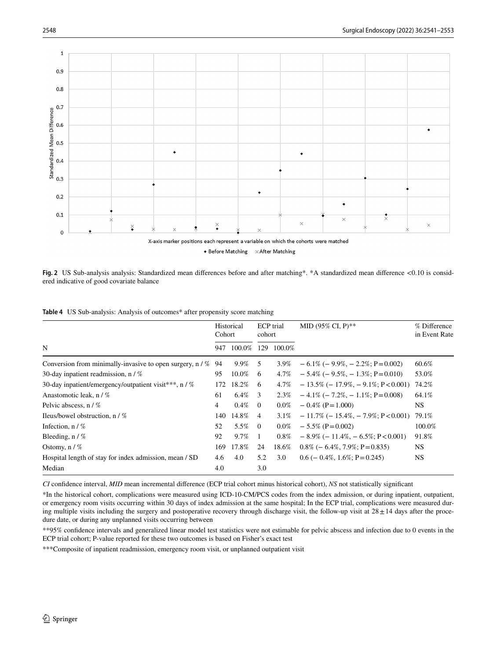

 $\bullet$  Before Matching  $\times$  After Matching

<span id="page-7-0"></span>**Fig. 2** US Sub-analysis analysis: Standardized mean diferences before and after matching\*. \*A standardized mean diference <0.10 is considered indicative of good covariate balance

<span id="page-7-1"></span>

|  | Table 4 US Sub-analysis: Analysis of outcomes* after propensity score matching |  |  |  |  |
|--|--------------------------------------------------------------------------------|--|--|--|--|
|--|--------------------------------------------------------------------------------|--|--|--|--|

|                                                              | Historical<br>Cohort |                      | ECP trial<br>cohort |         | MID (95% CI, P)**                                | % Difference<br>in Event Rate |
|--------------------------------------------------------------|----------------------|----------------------|---------------------|---------|--------------------------------------------------|-------------------------------|
| N                                                            |                      | 100.0%<br>129<br>947 |                     | 100.0%  |                                                  |                               |
| Conversion from minimally-invasive to open surgery, $n / \%$ | 94                   | 9.9%                 | -5                  |         | $3.9\% - 6.1\% (-9.9\%, -2.2\%; P=0.002)$        | 60.6%                         |
| 30-day inpatient readmission, $n / \%$                       | 95                   | 10.0%                | -6                  | 4.7%    | $-5.4\%$ ( $-9.5\%$ , $-1.3\%$ ; P $=0.010$ )    | 53.0%                         |
| 30-day inpatient/emergency/outpatient visit***, n / %        | 172                  | 18.2%                | 6                   | 4.7%    | $-13.5\%$ ( $-17.9\%$ , $-9.1\%$ ; P < 0.001)    | 74.2%                         |
| Anastomotic leak, n / %                                      | 61                   | $6.4\%$              | 3                   | 2.3%    | $-4.1\%$ ( $-7.2\%$ , $-1.1\%$ ; P=0.008)        | 64.1%                         |
| Pelvic abscess, $n / \%$                                     | $\overline{4}$       | $0.4\%$              | $\overline{0}$      | $0.0\%$ | $-0.4\%$ (P = 1.000)                             | <b>NS</b>                     |
| Ileus/bowel obstruction, $n / \%$                            | 140                  | 14.8%                | $\overline{4}$      | 3.1%    | $-11.7\%$ ( $-15.4\%$ , $-7.9\%$ ; P $< 0.001$ ) | 79.1%                         |
| Infection, $n / \%$                                          | 52                   | 5.5%                 | $\overline{0}$      | $0.0\%$ | $-5.5\%$ (P=0.002)                               | 100.0%                        |
| Bleeding, $n / \%$                                           | 92                   | 9.7%                 |                     | $0.8\%$ | $-8.9\%$ ( $-11.4\%$ , $-6.5\%$ ; P<0.001)       | 91.8%                         |
| Ostomy, $n / \%$                                             | 169                  | 17.8%                | 24                  | 18.6%   | $0.8\%$ (- 6.4\%, 7.9\%; P = 0.835)              | <b>NS</b>                     |
| Hospital length of stay for index admission, mean / SD       | 4.6                  | 4.0                  | 5.2                 | 3.0     | $0.6$ (- 0.4%, 1.6%; P = 0.245)                  | NS                            |
| Median                                                       | 4.0                  |                      | 3.0                 |         |                                                  |                               |

*CI* confdence interval, *MID* mean incremental diference (ECP trial cohort minus historical cohort), *NS* not statistically signifcant

\*In the historical cohort, complications were measured using ICD-10-CM/PCS codes from the index admission, or during inpatient, outpatient, or emergency room visits occurring within 30 days of index admission at the same hospital; In the ECP trial, complications were measured during multiple visits including the surgery and postoperative recovery through discharge visit, the follow-up visit at  $28 \pm 14$  days after the procedure date, or during any unplanned visits occurring between

\*\*95% confdence intervals and generalized linear model test statistics were not estimable for pelvic abscess and infection due to 0 events in the ECP trial cohort; P-value reported for these two outcomes is based on Fisher's exact test

\*\*\*Composite of inpatient readmission, emergency room visit, or unplanned outpatient visit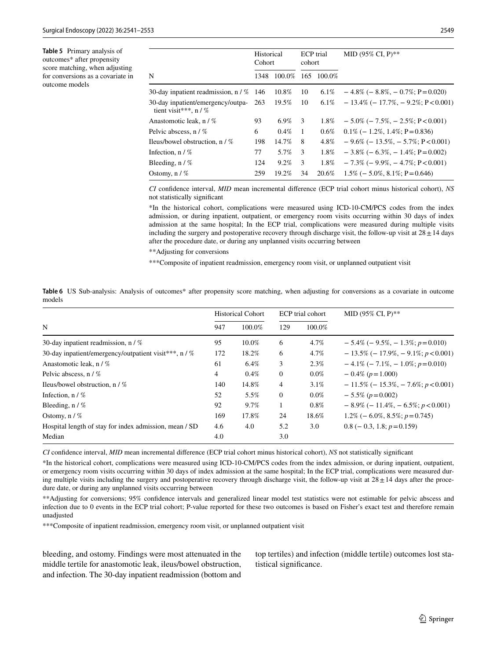<span id="page-8-0"></span>**Table 5** Primary analysis of outcomes\* after propensity score matching, when adjusting for conversions as a covariate in outcome models

|                                                                   | Historical<br>Cohort |         | <b>ECP</b> trial<br>cohort |            | MID (95% CI, $P$ )**                        |
|-------------------------------------------------------------------|----------------------|---------|----------------------------|------------|---------------------------------------------|
| N                                                                 | 1348                 | 100.0%  |                            | 165 100.0% |                                             |
| 30-day inpatient readmission, n / % 146                           |                      | 10.8%   | 10                         | $6.1\%$    | $-4.8\%$ ( $-8.8\%$ , $-0.7\%$ ; P=0.020)   |
| 30-day inpatient/emergency/outpa- 263<br>tient visit***, $n / \%$ |                      | 19.5%   | 10                         | 6.1%       | $-13.4\%$ ( $-17.7\%$ , $-9.2\%$ ; P<0.001) |
| Anastomotic leak, n / %                                           | 93                   | 6.9%    | 3                          | 1.8%       | $-5.0\%$ ( $-7.5\%$ , $-2.5\%$ ; P<0.001)   |
| Pelvic abscess, n / %                                             | 6                    | $0.4\%$ | $\overline{1}$             | $0.6\%$    | $0.1\% (-1.2\%, 1.4\%; P=0.836)$            |
| Ileus/bowel obstruction, $n / \%$                                 | 198                  | 14.7%   | 8                          | 4.8%       | $-9.6\%$ ( $-13.5\%$ , $-5.7\%$ ; P<0.001)  |
| Infection, $n / \%$                                               | 77                   | 5.7%    | 3                          | $1.8\%$    | $-3.8\%$ ( $-6.3\%$ , $-1.4\%$ ; P=0.002)   |
| Bleeding, $n / \%$                                                | 124                  | $9.2\%$ | 3                          | $1.8\%$    | $-7.3\%$ ( $-9.9\%$ , $-4.7\%$ ; P < 0.001) |
| Ostomy, $n / \%$                                                  | 259                  | 19.2%   | 34                         | 20.6%      | $1.5\% (-5.0\%, 8.1\%; P=0.646)$            |
|                                                                   |                      |         |                            |            |                                             |

*CI* confdence interval, *MID* mean incremental diference (ECP trial cohort minus historical cohort), *NS* not statistically signifcant

\*In the historical cohort, complications were measured using ICD-10-CM/PCS codes from the index admission, or during inpatient, outpatient, or emergency room visits occurring within 30 days of index admission at the same hospital; In the ECP trial, complications were measured during multiple visits including the surgery and postoperative recovery through discharge visit, the follow-up visit at  $28 \pm 14$  days after the procedure date, or during any unplanned visits occurring between

\*\*Adjusting for conversions

\*\*\*Composite of inpatient readmission, emergency room visit, or unplanned outpatient visit

<span id="page-8-1"></span>

|        | Table 6 US Sub-analysis: Analysis of outcomes* after propensity score matching, when adjusting for conversions as a covariate in outcome |  |  |  |  |  |  |  |
|--------|------------------------------------------------------------------------------------------------------------------------------------------|--|--|--|--|--|--|--|
| models |                                                                                                                                          |  |  |  |  |  |  |  |

|                                                        |     | <b>Historical Cohort</b> |                | ECP trial cohort | MID (95% CI, P)**                                |
|--------------------------------------------------------|-----|--------------------------|----------------|------------------|--------------------------------------------------|
| N                                                      | 947 | 100.0%                   | 129            | 100.0%           |                                                  |
| 30-day inpatient readmission, $n / \%$                 | 95  | 10.0%                    | 6              | 4.7%             | $-5.4\%$ ( $-9.5\%$ , $-1.3\%$ ; $p=0.010$ )     |
| 30-day inpatient/emergency/outpatient visit***, n / %  | 172 | 18.2%                    | 6              | 4.7%             | $-13.5\%$ ( $-17.9\%$ , $-9.1\%$ ; $p < 0.001$ ) |
| Anastomotic leak, n / %                                | 61  | 6.4%                     | 3              | 2.3%             | $-4.1\%$ (-7.1\% - 1.0\%; p=0.010)               |
| Pelvic abscess, n / %                                  | 4   | $0.4\%$                  | $\overline{0}$ | $0.0\%$          | $-0.4\%$ ( $p=1.000$ )                           |
| Ileus/bowel obstruction, $n / \%$                      | 140 | 14.8%                    | $\overline{4}$ | $3.1\%$          | $-11.5\% (-15.3\%, -7.6\%; p<0.001)$             |
| Infection, $n / \%$                                    | 52  | 5.5%                     | $\overline{0}$ | $0.0\%$          | $-5.5\%$ ( $p = 0.002$ )                         |
| Bleeding, $n / \%$                                     | 92  | 9.7%                     |                | $0.8\%$          | $-8.9\% (-11.4\%, -6.5\%; p < 0.001)$            |
| Ostomy, $n / \%$                                       | 169 | 17.8%                    | 24             | 18.6%            | $1.2\% (-6.0\%, 8.5\%; p=0.745)$                 |
| Hospital length of stay for index admission, mean / SD | 4.6 | 4.0                      | 5.2            | 3.0              | $0.8$ (- 0.3, 1.8; $p=0.159$ )                   |
| Median                                                 | 4.0 |                          | 3.0            |                  |                                                  |

*CI* confdence interval, *MID* mean incremental diference (ECP trial cohort minus historical cohort), *NS* not statistically signifcant

\*In the historical cohort, complications were measured using ICD-10-CM/PCS codes from the index admission, or during inpatient, outpatient, or emergency room visits occurring within 30 days of index admission at the same hospital; In the ECP trial, complications were measured during multiple visits including the surgery and postoperative recovery through discharge visit, the follow-up visit at  $28 \pm 14$  days after the procedure date, or during any unplanned visits occurring between

\*\*Adjusting for conversions; 95% confdence intervals and generalized linear model test statistics were not estimable for pelvic abscess and infection due to 0 events in the ECP trial cohort; P-value reported for these two outcomes is based on Fisher's exact test and therefore remain unadjusted

\*\*\*Composite of inpatient readmission, emergency room visit, or unplanned outpatient visit

bleeding, and ostomy. Findings were most attenuated in the middle tertile for anastomotic leak, ileus/bowel obstruction, and infection. The 30-day inpatient readmission (bottom and top tertiles) and infection (middle tertile) outcomes lost statistical signifcance.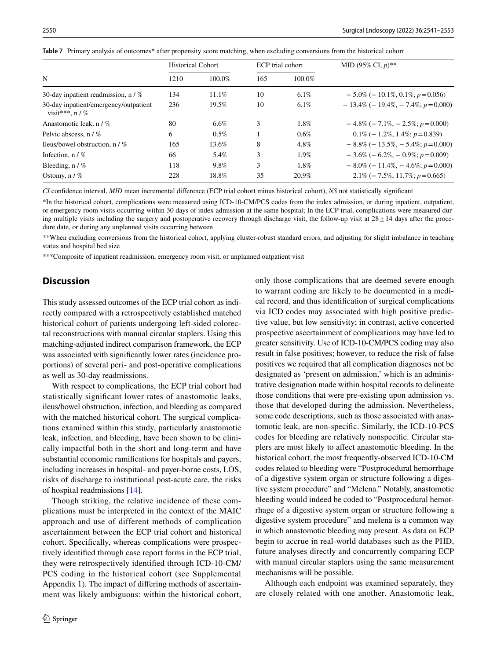<span id="page-9-0"></span>

|  |  |  |  |  |  |  | Table 7 Primary analysis of outcomes* after propensity score matching, when excluding conversions from the historical cohort |
|--|--|--|--|--|--|--|------------------------------------------------------------------------------------------------------------------------------|
|--|--|--|--|--|--|--|------------------------------------------------------------------------------------------------------------------------------|

|                                                             | <b>Historical Cohort</b> |         |     | ECP trial cohort | MID (95% CI, $p$ )**                            |
|-------------------------------------------------------------|--------------------------|---------|-----|------------------|-------------------------------------------------|
| N                                                           | 1210                     | 100.0%  | 165 | 100.0%           |                                                 |
| 30-day inpatient readmission, $n / \%$                      | 134                      | 11.1%   | 10  | $6.1\%$          | $-5.0\%$ (-10.1\%, 0.1\%; p=0.056)              |
| 30-day inpatient/emergency/outpatient<br>visit***, $n / \%$ | 236                      | 19.5%   | 10  | $6.1\%$          | $-13.4\% (-19.4\%, -7.4\%; p=0.000)$            |
| Anastomotic leak, n / %                                     | 80                       | 6.6%    | 3   | 1.8%             | $-4.8\%$ ( $-7.1\%$ , $-2.5\%$ ; $p=0.000$ )    |
| Pelvic abscess, $n / \%$                                    | 6                        | $0.5\%$ |     | $0.6\%$          | $0.1\% (-1.2\%, 1.4\%; p=0.839)$                |
| Ileus/bowel obstruction, $n / \%$                           | 165                      | 13.6%   | 8   | 4.8%             | $-8.8\%$ (-13.5\%, -5.4\%; p=0.000)             |
| Infection, $n / \%$                                         | 66                       | 5.4%    | 3   | 1.9%             | $-3.6\% (-6.2\%, -0.9\%; p=0.009)$              |
| Bleeding, $n / \%$                                          | 118                      | 9.8%    | 3   | 1.8%             | $-8.0\%$ ( $-11.4\%$ , $-4.6\%$ ; $p = 0.000$ ) |
| Ostomy, $n / \%$                                            | 228                      | 18.8%   | 35  | 20.9%            | $2.1\% (-7.5\%, 11.7\%; p=0.665)$               |

*CI* confdence interval, *MID* mean incremental diference (ECP trial cohort minus historical cohort), *NS* not statistically signifcant

\*In the historical cohort, complications were measured using ICD-10-CM/PCS codes from the index admission, or during inpatient, outpatient, or emergency room visits occurring within 30 days of index admission at the same hospital; In the ECP trial, complications were measured during multiple visits including the surgery and postoperative recovery through discharge visit, the follow-up visit at  $28 \pm 14$  days after the procedure date, or during any unplanned visits occurring between

\*\*When excluding conversions from the historical cohort, applying cluster-robust standard errors, and adjusting for slight imbalance in teaching status and hospital bed size

\*\*\*Composite of inpatient readmission, emergency room visit, or unplanned outpatient visit

# **Discussion**

This study assessed outcomes of the ECP trial cohort as indirectly compared with a retrospectively established matched historical cohort of patients undergoing left-sided colorectal reconstructions with manual circular staplers. Using this matching-adjusted indirect comparison framework, the ECP was associated with signifcantly lower rates (incidence proportions) of several peri- and post-operative complications as well as 30-day readmissions.

With respect to complications, the ECP trial cohort had statistically signifcant lower rates of anastomotic leaks, ileus/bowel obstruction, infection, and bleeding as compared with the matched historical cohort. The surgical complications examined within this study, particularly anastomotic leak, infection, and bleeding, have been shown to be clinically impactful both in the short and long-term and have substantial economic ramifcations for hospitals and payers, including increases in hospital- and payer-borne costs, LOS, risks of discharge to institutional post-acute care, the risks of hospital readmissions [\[14](#page-12-13)].

Though striking, the relative incidence of these complications must be interpreted in the context of the MAIC approach and use of different methods of complication ascertainment between the ECP trial cohort and historical cohort. Specifcally, whereas complications were prospectively identifed through case report forms in the ECP trial, they were retrospectively identifed through ICD-10-CM/ PCS coding in the historical cohort (see Supplemental Appendix 1). The impact of difering methods of ascertainment was likely ambiguous: within the historical cohort, only those complications that are deemed severe enough to warrant coding are likely to be documented in a medical record, and thus identifcation of surgical complications via ICD codes may associated with high positive predictive value, but low sensitivity; in contrast, active concerted prospective ascertainment of complications may have led to greater sensitivity. Use of ICD-10-CM/PCS coding may also result in false positives; however, to reduce the risk of false positives we required that all complication diagnoses not be designated as 'present on admission,' which is an administrative designation made within hospital records to delineate those conditions that were pre-existing upon admission vs. those that developed during the admission. Nevertheless, some code descriptions, such as those associated with anastomotic leak, are non-specifc. Similarly, the ICD-10-PCS codes for bleeding are relatively nonspecifc. Circular staplers are most likely to afect anastomotic bleeding. In the historical cohort, the most frequently-observed ICD-10-CM codes related to bleeding were "Postprocedural hemorrhage of a digestive system organ or structure following a digestive system procedure" and "Melena." Notably, anastomotic bleeding would indeed be coded to "Postprocedural hemorrhage of a digestive system organ or structure following a digestive system procedure" and melena is a common way in which anastomotic bleeding may present. As data on ECP begin to accrue in real-world databases such as the PHD, future analyses directly and concurrently comparing ECP with manual circular staplers using the same measurement mechanisms will be possible.

Although each endpoint was examined separately, they are closely related with one another. Anastomotic leak,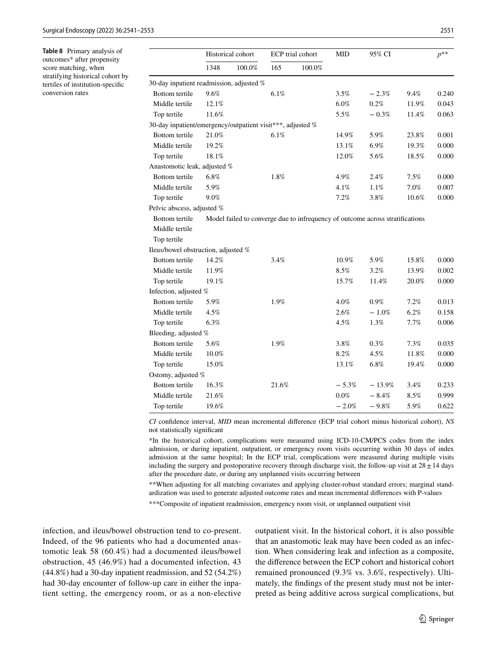<span id="page-10-0"></span>**Table 8** Primary analysis of outcomes\* after propensity score matching, when stratifying historical cohort by tertiles of institution-specifc conversion rates

|                                                            | Historical cohort |        | ECP trial cohort |        | <b>MID</b> | 95% CI                                                                        |         | $p^{**}$ |
|------------------------------------------------------------|-------------------|--------|------------------|--------|------------|-------------------------------------------------------------------------------|---------|----------|
|                                                            | 1348              | 100.0% | 165              | 100.0% |            |                                                                               |         |          |
| 30-day inpatient readmission, adjusted %                   |                   |        |                  |        |            |                                                                               |         |          |
| Bottom tertile                                             | 9.6%              |        | 6.1%             |        | 3.5%       | $-2.3%$                                                                       | 9.4%    | 0.240    |
| Middle tertile                                             | 12.1%             |        |                  |        | 6.0%       | 0.2%                                                                          | 11.9%   | 0.043    |
| Top tertile                                                | 11.6%             |        |                  |        | 5.5%       | $-0.3%$                                                                       | 11.4%   | 0.063    |
| 30-day inpatient/emergency/outpatient visit***, adjusted % |                   |        |                  |        |            |                                                                               |         |          |
| <b>Bottom</b> tertile                                      | 21.0%             |        | 6.1%             |        | 14.9%      | 5.9%                                                                          | 23.8%   | 0.001    |
| Middle tertile                                             | 19.2%             |        |                  |        | 13.1%      | 6.9%                                                                          | 19.3%   | 0.000    |
| Top tertile                                                | 18.1%             |        |                  |        | 12.0%      | 5.6%                                                                          | 18.5%   | 0.000    |
| Anastomotic leak, adjusted %                               |                   |        |                  |        |            |                                                                               |         |          |
| Bottom tertile                                             | 6.8%              |        | 1.8%             |        | 4.9%       | 2.4%                                                                          | $7.5\%$ | 0.000    |
| Middle tertile                                             | 5.9%              |        |                  |        | 4.1%       | 1.1%                                                                          | 7.0%    | 0.007    |
| Top tertile                                                | 9.0%              |        |                  |        | 7.2%       | 3.8%                                                                          | 10.6%   | 0.000    |
| Pelvic abscess, adjusted %                                 |                   |        |                  |        |            |                                                                               |         |          |
| Bottom tertile                                             |                   |        |                  |        |            | Model failed to converge due to infrequency of outcome across stratifications |         |          |
| Middle tertile                                             |                   |        |                  |        |            |                                                                               |         |          |
| Top tertile                                                |                   |        |                  |        |            |                                                                               |         |          |
| Ileus/bowel obstruction, adjusted %                        |                   |        |                  |        |            |                                                                               |         |          |
| Bottom tertile                                             | 14.2%             |        | 3.4%             |        | 10.9%      | 5.9%                                                                          | 15.8%   | 0.000    |
| Middle tertile                                             | 11.9%             |        |                  |        | 8.5%       | 3.2%                                                                          | 13.9%   | 0.002    |
| Top tertile                                                | 19.1%             |        |                  |        | 15.7%      | 11.4%                                                                         | 20.0%   | 0.000    |
| Infection, adjusted %                                      |                   |        |                  |        |            |                                                                               |         |          |
| Bottom tertile                                             | 5.9%              |        | 1.9%             |        | 4.0%       | 0.9%                                                                          | 7.2%    | 0.013    |
| Middle tertile                                             | 4.5%              |        |                  |        | 2.6%       | $-1.0%$                                                                       | 6.2%    | 0.158    |
| Top tertile                                                | 6.3%              |        |                  |        | 4.5%       | 1.3%                                                                          | 7.7%    | 0.006    |
| Bleeding, adjusted %                                       |                   |        |                  |        |            |                                                                               |         |          |
| Bottom tertile                                             | 5.6%              |        | 1.9%             |        | 3.8%       | 0.3%                                                                          | 7.3%    | 0.035    |
| Middle tertile                                             | 10.0%             |        |                  |        | 8.2%       | 4.5%                                                                          | 11.8%   | 0.000    |
| Top tertile                                                | 15.0%             |        |                  |        | 13.1%      | 6.8%                                                                          | 19.4%   | 0.000    |
| Ostomy, adjusted %                                         |                   |        |                  |        |            |                                                                               |         |          |
| Bottom tertile                                             | 16.3%             |        | 21.6%            |        | $-5.3%$    | $-13.9%$                                                                      | 3.4%    | 0.233    |
| Middle tertile                                             | 21.6%             |        |                  |        | $0.0\%$    | $-8.4%$                                                                       | 8.5%    | 0.999    |
| Top tertile                                                | 19.6%             |        |                  |        | $-2.0%$    | $-9.8%$                                                                       | 5.9%    | 0.622    |

*CI* confdence interval, *MID* mean incremental diference (ECP trial cohort minus historical cohort), *NS* not statistically signifcant

\*In the historical cohort, complications were measured using ICD-10-CM/PCS codes from the index admission, or during inpatient, outpatient, or emergency room visits occurring within 30 days of index admission at the same hospital; In the ECP trial, complications were measured during multiple visits including the surgery and postoperative recovery through discharge visit, the follow-up visit at  $28 \pm 14$  days after the procedure date, or during any unplanned visits occurring between

\*\*When adjusting for all matching covariates and applying cluster-robust standard errors; marginal standardization was used to generate adjusted outcome rates and mean incremental diferences with P-values

\*\*\*Composite of inpatient readmission, emergency room visit, or unplanned outpatient visit

infection, and ileus/bowel obstruction tend to co-present. Indeed, of the 96 patients who had a documented anastomotic leak 58 (60.4%) had a documented ileus/bowel obstruction, 45 (46.9%) had a documented infection, 43 (44.8%) had a 30-day inpatient readmission, and 52 (54.2%) had 30-day encounter of follow-up care in either the inpatient setting, the emergency room, or as a non-elective outpatient visit. In the historical cohort, it is also possible that an anastomotic leak may have been coded as an infection. When considering leak and infection as a composite, the diference between the ECP cohort and historical cohort remained pronounced (9.3% vs. 3.6%, respectively). Ultimately, the fndings of the present study must not be interpreted as being additive across surgical complications, but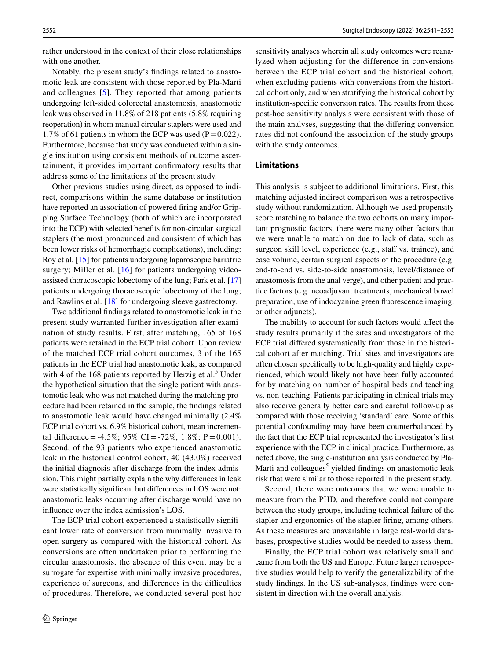rather understood in the context of their close relationships with one another.

Notably, the present study's fndings related to anastomotic leak are consistent with those reported by Pla-Marti and colleagues [[5](#page-12-4)]. They reported that among patients undergoing left-sided colorectal anastomosis, anastomotic leak was observed in 11.8% of 218 patients (5.8% requiring reoperation) in whom manual circular staplers were used and 1.7% of 61 patients in whom the ECP was used  $(P=0.022)$ . Furthermore, because that study was conducted within a single institution using consistent methods of outcome ascertainment, it provides important confrmatory results that address some of the limitations of the present study.

Other previous studies using direct, as opposed to indirect, comparisons within the same database or institution have reported an association of powered fring and/or Gripping Surface Technology (both of which are incorporated into the ECP) with selected benefts for non-circular surgical staplers (the most pronounced and consistent of which has been lower risks of hemorrhagic complications), including: Roy et al. [[15\]](#page-12-14) for patients undergoing laparoscopic bariatric surgery; Miller et al. [[16](#page-12-15)] for patients undergoing videoassisted thoracoscopic lobectomy of the lung; Park et al. [[17\]](#page-12-16) patients undergoing thoracoscopic lobectomy of the lung; and Rawlins et al. [\[18](#page-12-17)] for undergoing sleeve gastrectomy.

Two additional fndings related to anastomotic leak in the present study warranted further investigation after examination of study results. First, after matching, 165 of 168 patients were retained in the ECP trial cohort. Upon review of the matched ECP trial cohort outcomes, 3 of the 165 patients in the ECP trial had anastomotic leak, as compared with 4 of the  $168$  patients reported by Herzig et al.<sup>5</sup> Under the hypothetical situation that the single patient with anastomotic leak who was not matched during the matching procedure had been retained in the sample, the fndings related to anastomotic leak would have changed minimally (2.4% ECP trial cohort vs. 6.9% historical cohort, mean incremental difference = -4.5%; 95% CI = -72%, 1.8%; P = 0.001). Second, of the 93 patients who experienced anastomotic leak in the historical control cohort, 40 (43.0%) received the initial diagnosis after discharge from the index admission. This might partially explain the why diferences in leak were statistically significant but differences in LOS were not: anastomotic leaks occurring after discharge would have no infuence over the index admission's LOS.

The ECP trial cohort experienced a statistically signifcant lower rate of conversion from minimally invasive to open surgery as compared with the historical cohort. As conversions are often undertaken prior to performing the circular anastomosis, the absence of this event may be a surrogate for expertise with minimally invasive procedures, experience of surgeons, and differences in the difficulties of procedures. Therefore, we conducted several post-hoc sensitivity analyses wherein all study outcomes were reanalyzed when adjusting for the difference in conversions between the ECP trial cohort and the historical cohort, when excluding patients with conversions from the historical cohort only, and when stratifying the historical cohort by institution-specifc conversion rates. The results from these post-hoc sensitivity analysis were consistent with those of the main analyses, suggesting that the difering conversion rates did not confound the association of the study groups with the study outcomes.

## **Limitations**

This analysis is subject to additional limitations. First, this matching adjusted indirect comparison was a retrospective study without randomization. Although we used propensity score matching to balance the two cohorts on many important prognostic factors, there were many other factors that we were unable to match on due to lack of data, such as surgeon skill level, experience (e.g., staff vs. trainee), and case volume, certain surgical aspects of the procedure (e.g. end-to-end vs. side-to-side anastomosis, level/distance of anastomosis from the anal verge), and other patient and practice factors (e.g. neoadjuvant treatments, mechanical bowel preparation, use of indocyanine green fuorescence imaging, or other adjuncts).

The inability to account for such factors would affect the study results primarily if the sites and investigators of the ECP trial difered systematically from those in the historical cohort after matching. Trial sites and investigators are often chosen specifcally to be high-quality and highly experienced, which would likely not have been fully accounted for by matching on number of hospital beds and teaching vs. non-teaching. Patients participating in clinical trials may also receive generally better care and careful follow-up as compared with those receiving 'standard' care. Some of this potential confounding may have been counterbalanced by the fact that the ECP trial represented the investigator's frst experience with the ECP in clinical practice. Furthermore, as noted above, the single-institution analysis conducted by Pla-Marti and colleagues<sup>5</sup> yielded findings on anastomotic leak risk that were similar to those reported in the present study.

Second, there were outcomes that we were unable to measure from the PHD, and therefore could not compare between the study groups, including technical failure of the stapler and ergonomics of the stapler fring, among others. As these measures are unavailable in large real-world databases, prospective studies would be needed to assess them.

Finally, the ECP trial cohort was relatively small and came from both the US and Europe. Future larger retrospective studies would help to verify the generalizability of the study fndings. In the US sub-analyses, fndings were consistent in direction with the overall analysis.